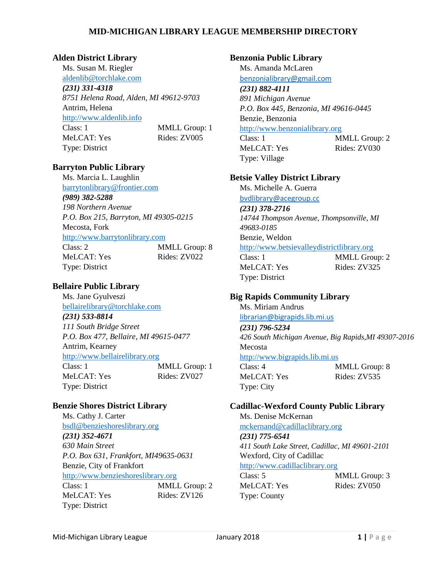#### **Alden District Library**

Ms. Susan M. Riegler [aldenlib@torchlake.com](mailto:aldenlib@torchlake.com) *(231) 331-4318 8751 Helena Road, Alden, MI 49612-9703* Antrim, Helena [http://www.aldenlib.info](http://www.aldenlib.info/) Class: 1 MMLL Group: 1 MeLCAT: Yes Rides: ZV005 Type: District

### **Barryton Public Library**

Ms. Marcia L. Laughlin [barrytonlibrary@frontier.com](mailto:barrytonlibrary@frontier.com) *(989) 382-5288 198 Northern Avenue P.O. Box 215, Barryton, MI 49305-0215* Mecosta, Fork [http://www.barrytonlibrary.com](http://www.barrytonlibrary.com/) Class: 2 MMLL Group: 8 MeLCAT: Yes Rides: ZV022 Type: District

# **Bellaire Public Library**

Ms. Jane Gyulveszi [bellairelibrary@torchlake.com](mailto:bellairelibrary@torchlake.com) *(231) 533-8814 111 South Bridge Street P.O. Box 477, Bellaire, MI 49615-0477* Antrim, Kearney [http://www.bellairelibrary.org](http://www.bellairelibrary.org/) Class: 1 MMLL Group: 1 MeLCAT: Yes Rides: ZV027 Type: District

## **Benzie Shores District Library**

Ms. Cathy J. Carter [bsdl@benzieshoreslibrary.org](mailto:bsdl@benzieshoreslibrary.org) *(231) 352-4671 630 Main Street P.O. Box 631, Frankfort, MI49635-0631* Benzie, City of Frankfort [http://www.benzieshoreslibrary.org](http://www.benzieshoreslibrary.org/) Class: 1 MMLL Group: 2 MeLCAT: Yes Rides: ZV126 Type: District

### **Benzonia Public Library**

Ms. Amanda McLaren [benzonialibrary@gmail.com](mailto:benzonialibrary@gmail.com)

#### *(231) 882-4111*

*891 Michigan Avenue P.O. Box 445, Benzonia, MI 49616-0445* Benzie, Benzonia

## [http://www.benzonialibrary.org](http://www.benzonialibrary.org/)

MeLCAT: Yes Rides: ZV030 Type: Village

Class: 1 MMLL Group: 2

#### **Betsie Valley District Library**

Ms. Michelle A. Guerra [bvdlibrary@acegroup.cc](mailto:bvdlibrary@acegroup.cc)

*(231) 378-2716 14744 Thompson Avenue, Thompsonville, MI 49683-0185* Benzie, Weldon [http://www.betsievalleydistrictlibrary.org](http://www.betsievalleydistrictlibrary.org/) Class: 1 MMLL Group: 2

Type: District

MeLCAT: Yes Rides: ZV325

### **Big Rapids Community Library**

Ms. Miriam Andrus [librarian@bigrapids.lib.mi.us](mailto:librarian@bigrapids.lib.mi.us) *(231) 796-5234 426 South Michigan Avenue, Big Rapids,MI 49307-2016* Mecosta [http://www.bigrapids.lib.mi.us](http://www.bigrapids.lib.mi.us/) Class: 4 MMLL Group: 8 MeLCAT: Yes Rides: ZV535 Type: City

### **Cadillac-Wexford County Public Library**

Ms. Denise McKernan [mckernand@cadillaclibrary.org](mailto:mckernand@cadillaclibrary.org) *(231) 775-6541 411 South Lake Street, Cadillac, MI 49601-2101* Wexford, City of Cadillac [http://www.cadillaclibrary.org](http://www.cadillaclibrary.org/) Class: 5 MMLL Group: 3

MeLCAT: Yes Rides: ZV050 Type: County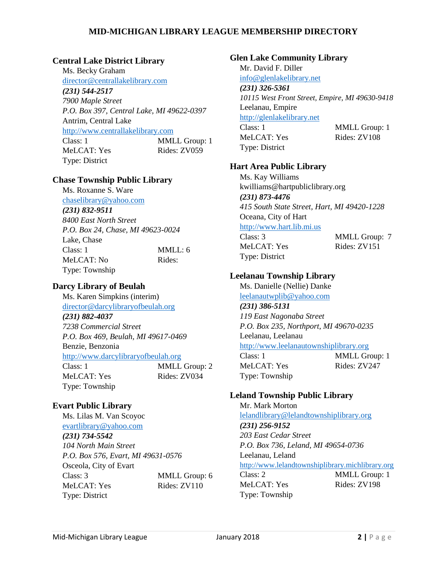## **Central Lake District Library**

Ms. Becky Graham [director@centrallakelibrary.com](mailto:director@centrallakelibrary.com) *(231) 544-2517 7900 Maple Street P.O. Box 397, Central Lake, MI 49622-0397* Antrim, Central Lake [http://www.centrallakelibrary.com](http://www.centrallakelibrary.com/) Class: 1 MMLL Group: 1 MeLCAT: Yes Rides: ZV059 Type: District

### **Chase Township Public Library**

Ms. Roxanne S. Ware

[chaselibrary@yahoo.com](mailto:chaselibrary@yahoo.com) *(231) 832-9511 8400 East North Street P.O. Box 24, Chase, MI 49623-0024* Lake, Chase Class: 1 MMLL: 6 MeLCAT: No Rides: Type: Township

# **Darcy Library of Beulah**

Ms. Karen Simpkins (interim) [director@darcylibraryofbeulah.org](mailto:director@darcylibraryofbeulah.org) *(231) 882-4037 7238 Commercial Street P.O. Box 469, Beulah, MI 49617-0469* Benzie, Benzonia [http://www.darcylibraryofbeulah.org](http://www.darcylibraryofbeulah.org/) Class: 1 MMLL Group: 2 MeLCAT: Yes Rides: ZV034 Type: Township

# **Evart Public Library**

Ms. Lilas M. Van Scoyoc [evartlibrary@yahoo.com](mailto:evartlibrary@yahoo.com) *(231) 734-5542 104 North Main Street P.O. Box 576, Evart, MI 49631-0576* Osceola, City of Evart Class: 3 MMLL Group: 6 MeLCAT: Yes Rides: ZV110 Type: District

# **Glen Lake Community Library**

Mr. David F. Diller [info@glenlakelibrary.net](mailto:info@glenlakelibrary.net) *(231) 326-5361 10115 West Front Street, Empire, MI 49630-9418* Leelanau, Empire [http://glenlakelibrary.net](http://glenlakelibrary.net/) Class: 1 MMLL Group: 1 MeLCAT: Yes Rides: ZV108 Type: District

# **Hart Area Public Library**

Ms. Kay Williams kwilliams@hartpubliclibrary.org *(231) 873-4476 415 South State Street, Hart, MI 49420-1228* Oceana, City of Hart [http://www.hart.lib.mi.us](http://www.hart.lib.mi.us/) Class: 3 MMLL Group: 7 MeLCAT: Yes Rides: ZV151 Type: District

# **Leelanau Township Library**

Ms. Danielle (Nellie) Danke [leelanautwplib@yahoo.com](mailto:leelanautwplib@yahoo.com) *(231) 386-5131 119 East Nagonaba Street P.O. Box 235, Northport, MI 49670-0235* Leelanau, Leelanau [http://www.leelanautownshiplibrary.org](http://www.leelanautownshiplibrary.org/) Class: 1 MMLL Group: 1 MeLCAT: Yes Rides: ZV247 Type: Township

# **Leland Township Public Library**

Mr. Mark Morton [lelandlibrary@lelandtownshiplibrary.org](mailto:lelandlibrary@lelandtownshiplibrary.org) *(231) 256-9152 203 East Cedar Street P.O. Box 736, Leland, MI 49654-0736* Leelanau, Leland [http://www.lelandtownshiplibrary.michlibrary.org](http://www.lelandtownshiplibrary.michlibrary.org/) Class: 2 MMLL Group: 1 MeLCAT: Yes Rides: ZV198 Type: Township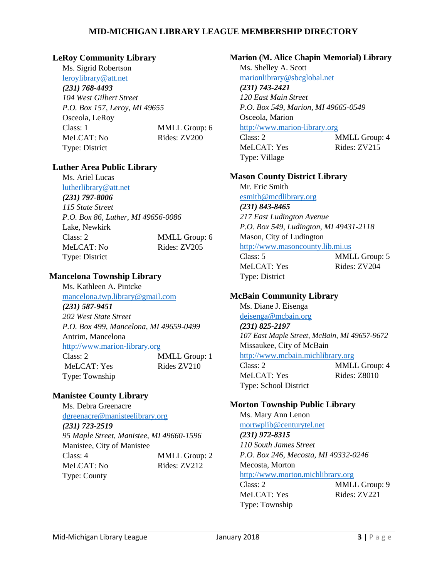#### **LeRoy Community Library**

Ms. Sigrid Robertson [leroylibrary@att.net](mailto:leroylibrary@att.net)

#### *(231) 768-4493*

*104 West Gilbert Street P.O. Box 157, Leroy, MI 49655* Osceola, LeRoy Class: 1 MMLL Group: 6 MeLCAT: No Rides: ZV200 Type: District

### **Luther Area Public Library**

Ms. Ariel Lucas [lutherlibrary@att.net](mailto:lutherlibrary@att.net) *(231) 797-8006 115 State Street P.O. Box 86, Luther, MI 49656-0086* Lake, Newkirk Class: 2 MMLL Group: 6 MeLCAT: No Rides: ZV205 Type: District

### **Mancelona Township Library**

Ms. Kathleen A. Pintcke [mancelona.twp.library@gmail.com](mailto:mancelona.twp.library@gmail.com) *(231) 587-9451 202 West State Street P.O. Box 499, Mancelona, MI 49659-0499* Antrim, Mancelona [http://www.marion-library.org](http://www.marion-library.org/) Class: 2 MMLL Group: 1 MeLCAT: Yes Rides ZV210 Type: Township

## **Manistee County Library**

Ms. Debra Greenacre [dgreenacre@manisteelibrary.org](mailto:dgreenacre@manisteelibrary.org) *(231) 723-2519 95 Maple Street, Manistee, MI 49660-1596* Manistee, City of Manistee Class: 4 MMLL Group: 2 MeLCAT: No Rides: ZV212 Type: County

### **Marion (M. Alice Chapin Memorial) Library**

Ms. Shelley A. Scott [marionlibrary@sbcglobal.net](mailto:marionlibrary@sbcglobal.net) *(231) 743-2421*

*120 East Main Street P.O. Box 549, Marion, MI 49665-0549* Osceola, Marion

### [http://www.marion-library.org](http://www.marion-library.org/)

Class: 2 MMLL Group: 4 MeLCAT: Yes Rides: ZV215 Type: Village

### **Mason County District Library**

Mr. Eric Smith [esmith@mcdlibrary.org](mailto:esmith@mcdlibrary.org) *(231) 843-8465 217 East Ludington Avenue P.O. Box 549, Ludington, MI 49431-2118* Mason, City of Ludington [http://www.masoncounty.lib.mi.us](http://www.masoncounty.lib.mi.us/)

Class: 5 MMLL Group: 5 MeLCAT: Yes Rides: ZV204 Type: District

## **McBain Community Library**

Ms. Diane J. Eisenga [deisenga@mcbain.org](mailto:deisenga@mcbain.org)

#### *(231) 825-2197 107 East Maple Street, McBain, MI 49657-9672* Missaukee, City of McBain [http://www.mcbain.michlibrary.org](http://www.mcbain.michlibrary.org/)

Class: 2 MMLL Group: 4 MeLCAT: Yes Rides: Z8010 Type: School District

### **Morton Township Public Library**

Ms. Mary Ann Lenon [mortwplib@centurytel.net](mailto:mortwplib@centurytel.net) *(231) 972-8315 110 South James Street P.O. Box 246, Mecosta, MI 49332-0246* Mecosta, Morton [http://www.morton.michlibrary.org](http://www.morton.michlibrary.org/) Class: 2 MMLL Group: 9 MeLCAT: Yes Rides: ZV221

Type: Township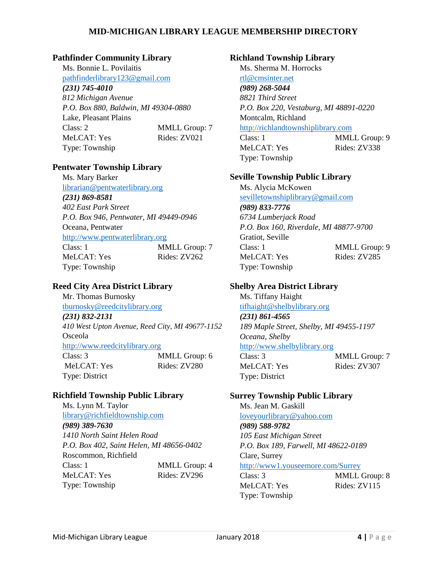### **Pathfinder Community Library**

Ms. Bonnie L. Povilaitis [pathfinderlibrary123@gmail.com](mailto:pathfinderlibrary123@gmail.com) *(231) 745-4010 812 Michigan Avenue P.O. Box 880, Baldwin, MI 49304-0880* Lake, Pleasant Plains Class: 2 MMLL Group: 7 MeLCAT: Yes Rides: ZV021 Type: Township

### **Pentwater Township Library**

Ms. Mary Barker [librarian@pentwaterlibrary.org](mailto:librarian@pentwaterlibrary.org) *(231) 869-8581 402 East Park Street P.O. Box 946, Pentwater, MI 49449-0946* Oceana, Pentwater [http://www.pentwaterlibrary.org](http://www.pentwaterlibrary.org/)  Class: 1 MMLL Group: 7 MeLCAT: Yes Rides: ZV262 Type: Township

# **Reed City Area District Library**

Mr. Thomas Burnosky [tburnosky@reedcitylibrary.org](mailto:tburnosky@reedcitylibrary.org) *(231) 832-2131 410 West Upton Avenue, Reed City, MI 49677-1152* Osceola [http://www.reedcitylibrary.org](http://www.reedcitylibrary.org/) Class: 3 MMLL Group: 6 MeLCAT: Yes Rides: ZV280 Type: District

## **Richfield Township Public Library**

Ms. Lynn M. Taylor [library@richfieldtownship.com](mailto:library@richfieldtownship.com) *(989) 389-7630 1410 North Saint Helen Road P.O. Box 402, Saint Helen, MI 48656-0402* Roscommon, Richfield Class: 1 MMLL Group: 4 MeLCAT: Yes Rides: ZV296 Type: Township

### **Richland Township Library**

Ms. Sherma M. Horrocks [rtl@cmsinter.net](mailto:rtl@cmsinter.net) *(989) 268-5044 8821 Third Street P.O. Box 220, Vestaburg, MI 48891-0220* Montcalm, Richland [http://richlandtownshiplibrary.com](http://richlandtownshiplibrary.com/)

Class: 1 MMLL Group: 9 MeLCAT: Yes Rides: ZV338 Type: Township

### **Seville Township Public Library**

Ms. Alycia McKowen [sevilletownshiplibrary@gmail.com](mailto:sevilletownshiplibrary@gmail.com) *(989) 833-7776 6734 Lumberjack Road P.O. Box 160, Riverdale, MI 48877-9700* Gratiot, Seville Class: 1 MMLL Group: 9 MeLCAT: Yes Rides: ZV285 Type: Township

# **Shelby Area District Library**

Ms. Tiffany Haight [tifhaight@shelbylibrary.org](mailto:tifhaight@shelbylibrary.org) *(231) 861-4565 189 Maple Street, Shelby, MI 49455-1197 Oceana, Shelby* [http://www.shelbylibrary.org](http://www.shelbylibrary.org/) Class: 3 MMLL Group: 7 MeLCAT: Yes Rides: ZV307 Type: District

## **Surrey Township Public Library**

Ms. Jean M. Gaskill [loveyourlibrary@yahoo.com](mailto:loveyourlibrary@yahoo.com) *(989) 588-9782 105 East Michigan Street P.O. Box 189, Farwell, MI 48622-0189* Clare, Surrey <http://www1.youseemore.com/Surrey> Class: 3 MMLL Group: 8 MeLCAT: Yes Rides: ZV115

Type: Township